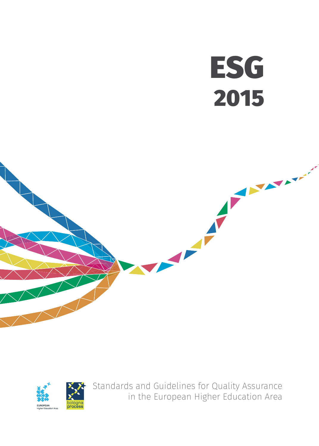# **ESG** 2015





Standards and Guidelines for Quality Assurance in the European Higher Education Area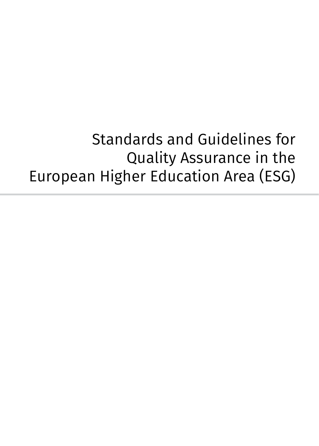Standards and Guidelines for Quality Assurance in the European Higher Education Area (ESG)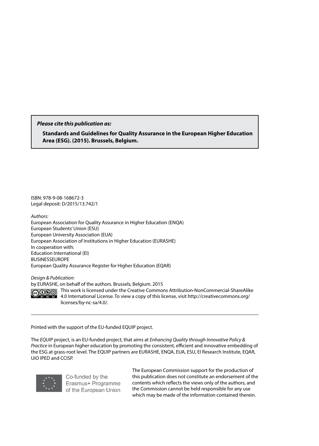*Please cite this publication as:*

**Standards and Guidelines for Quality Assurance in the European Higher Education Area (ESG). (2015). Brussels, Belgium.**

ISBN: 978-9-08-168672-3 Legal deposit: D/2015/13.742/1

*Authors:*

European Association for Quality Assurance in Higher Education (ENQA) European Students' Union (ESU) European University Association (EUA) European Association of Institutions in Higher Education (EURASHE) In cooperation with: Education International (EI) BUSINESSEUROPE European Quality Assurance Register for Higher Education (EQAR)

*Design & Publication:*

by EURASHE, on behalf of the authors. Brussels, Belgium. 2015

 $@0@0$ 

This work is licensed under the Creative Commons Attribution-NonCommercial-ShareAlike 4.0 International License. To view a copy of this license, visit http://creativecommons.org/ licenses/by-nc-sa/4.0/.

Printed with the support of the EU-funded EQUIP project.

The *EQUIP* project, is an EU-funded project, that aims at *Enhancing Quality through Innovative Policy & Practice* in European higher education by promoting the consistent, efficient and innovative embedding of the ESG at grass-root level. The EQUIP partners are EURASHE, ENQA, EUA, ESU, EI Research Institute, EQAR, UiO IPED and CCISP.



Co-funded by the Erasmus+ Programme of the European Union The European Commission support for the production of this publication does not constitute an endorsement of the contents which reflects the views only of the authors, and the Commission cannot be held responsible for any use which may be made of the information contained therein.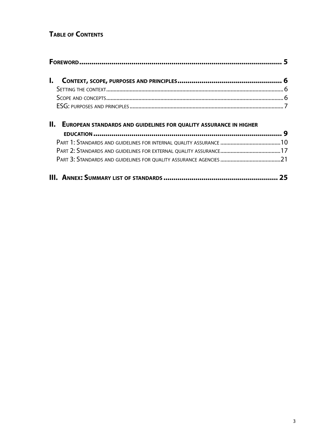# **TABLE OF CONTENTS**

| <b>II. EUROPEAN STANDARDS AND GUIDELINES FOR QUALITY ASSURANCE IN HIGHER</b> |  |
|------------------------------------------------------------------------------|--|
|                                                                              |  |
|                                                                              |  |
|                                                                              |  |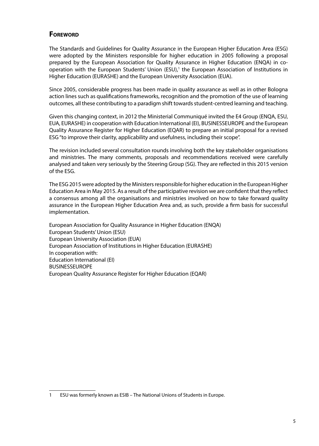# <span id="page-6-0"></span>**FOREWORD**

The Standards and Guidelines for Quality Assurance in the European Higher Education Area (ESG) were adopted by the Ministers responsible for higher education in 2005 following a proposal prepared by the European Association for Quality Assurance in Higher Education (ENQA) in cooperation with the European Students' Union (ESU),<sup>1</sup> the European Association of Institutions in Higher Education (EURASHE) and the European University Association (EUA).

Since 2005, considerable progress has been made in quality assurance as well as in other Bologna action lines such as qualifications frameworks, recognition and the promotion of the use of learning outcomes, all these contributing to a paradigm shift towards student-centred learning and teaching.

Given this changing context, in 2012 the Ministerial Communiqué invited the E4 Group (ENQA, ESU, EUA, EURASHE) in cooperation with Education International (EI), BUSINESSEUROPE and the European Quality Assurance Register for Higher Education (EQAR) to prepare an initial proposal for a revised ESG "to improve their clarity, applicability and usefulness, including their scope".

The revision included several consultation rounds involving both the key stakeholder organisations and ministries. The many comments, proposals and recommendations received were carefully analysed and taken very seriously by the Steering Group (SG). They are reflected in this 2015 version of the ESG.

The ESG 2015 were adopted by the Ministers responsible for higher education in the European Higher Education Area in May 2015. As a result of the participative revision we are confident that they reflect a consensus among all the organisations and ministries involved on how to take forward quality assurance in the European Higher Education Area and, as such, provide a firm basis for successful implementation.

European Association for Quality Assurance in Higher Education (ENQA) European Students' Union (ESU) European University Association (EUA) European Association of Institutions in Higher Education (EURASHE) In cooperation with: Education International (EI) BUSINESSEUROPE European Quality Assurance Register for Higher Education (EQAR)

<sup>1</sup> ESU was formerly known as ESIB – The National Unions of Students in Europe.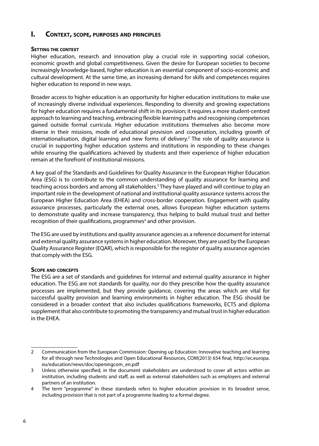# <span id="page-7-0"></span>**I. Context, scope, purposes and principles**

#### **Setting the context**

Higher education, research and innovation play a crucial role in supporting social cohesion, economic growth and global competitiveness. Given the desire for European societies to become increasingly knowledge-based, higher education is an essential component of socio-economic and cultural development. At the same time, an increasing demand for skills and competences requires higher education to respond in new ways.

Broader access to higher education is an opportunity for higher education institutions to make use of increasingly diverse individual experiences. Responding to diversity and growing expectations for higher education requires a fundamental shift in its provision; it requires a more student-centred approach to learning and teaching, embracing flexible learning paths and recognising competences gained outside formal curricula. Higher education institutions themselves also become more diverse in their missions, mode of educational provision and cooperation, including growth of internationalisation, digital learning and new forms of delivery.<sup>2</sup> The role of quality assurance is crucial in supporting higher education systems and institutions in responding to these changes while ensuring the qualifications achieved by students and their experience of higher education remain at the forefront of institutional missions.

A key goal of the Standards and Guidelines for Quality Assurance in the European Higher Education Area (ESG) is to contribute to the common understanding of quality assurance for learning and teaching across borders and among all stakeholders.<sup>3</sup> They have played and will continue to play an important role in the development of national and institutional quality assurance systems across the European Higher Education Area (EHEA) and cross-border cooperation. Engagement with quality assurance processes, particularly the external ones, allows European higher education systems to demonstrate quality and increase transparency, thus helping to build mutual trust and better recognition of their qualifications, programmes<sup>4</sup> and other provision.

The ESG are used by institutions and quality assurance agencies as a reference document for internal and external quality assurance systems in higher education. Moreover, they are used by the European Quality Assurance Register (EQAR), which is responsible for the register of quality assurance agencies that comply with the ESG.

#### **Scope and concepts**

The ESG are a set of standards and guidelines for internal and external quality assurance in higher education. The ESG are not standards for quality, nor do they prescribe how the quality assurance processes are implemented, but they provide guidance, covering the areas which are vital for successful quality provision and learning environments in higher education. The ESG should be considered in a broader context that also includes qualifications frameworks, ECTS and diploma supplement that also contribute to promoting the transparency and mutual trust in higher education in the EHEA.

<sup>2</sup> Communication from the European Commission: Opening up Education: Innovative teaching and learning for all through new Technologies and Open Educational Resources, COM(2013) 654 final, http://ec.europa. eu/education/news/doc/openingcom\_en.pdf

<sup>3</sup> Unless otherwise specified, in the document stakeholders are understood to cover all actors within an institution, including students and staff, as well as external stakeholders such as employers and external partners of an institution.

<sup>4</sup> The term "programme" in these standards refers to higher education provision in its broadest sense, including provision that is not part of a programme leading to a formal degree.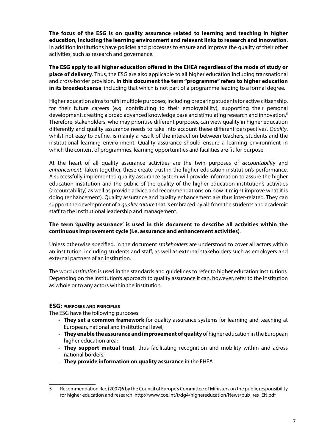<span id="page-8-0"></span>**The focus of the ESG is on quality assurance related to learning and teaching in higher education, including the learning environment and relevant links to research and innovation**. In addition institutions have policies and processes to ensure and improve the quality of their other activities, such as research and governance.

**The ESG apply to all higher education offered in the EHEA regardless of the mode of study or place of delivery**. Thus, the ESG are also applicable to all higher education including transnational and cross-border provision. **In this document the term "programme" refers to higher education in its broadest sense**, including that which is not part of a programme leading to a formal degree.

Higher education aims to fulfil multiple purposes; including preparing students for active citizenship, for their future careers (e.g. contributing to their employability), supporting their personal development, creating a broad advanced knowledge base and stimulating research and innovation.<sup>5</sup> Therefore, stakeholders, who may prioritise different purposes, can view quality in higher education differently and quality assurance needs to take into account these different perspectives. *Quality*, whilst not easy to define, is mainly a result of the interaction between teachers, students and the institutional learning environment. Quality assurance should ensure a learning environment in which the content of programmes, learning opportunities and facilities are fit for purpose.

At the heart of all quality assurance activities are the twin purposes of *accountability* and *enhancement*. Taken together, these create trust in the higher education institution's performance. A successfully implemented quality assurance system will provide information to assure the higher education institution and the public of the quality of the higher education institution's activities (accountability) as well as provide advice and recommendations on how it might improve what it is doing (enhancement). Quality assurance and quality enhancement are thus inter-related. They can support the development of a *quality culture* that is embraced by all: from the students and academic staff to the institutional leadership and management.

#### **The term 'quality assurance' is used in this document to describe all activities within the continuous improvement cycle (i.e. assurance and enhancement activities)**.

Unless otherwise specified, in the document *stakeholders* are understood to cover all actors within an institution, including students and staff, as well as external stakeholders such as employers and external partners of an institution.

The word *institution* is used in the standards and guidelines to refer to higher education institutions. Depending on the institution's approach to quality assurance it can, however, refer to the institution as whole or to any actors within the institution.

#### **ESG: purposes and principles**

The ESG have the following purposes:

- **They set a common framework** for quality assurance systems for learning and teaching at European, national and institutional level;
- **They enable the assurance and improvement of quality** of higher education in the European higher education area;
- **They support mutual trust**, thus facilitating recognition and mobility within and across national borders;
- **They provide information on quality assurance** in the EHEA.

<sup>5</sup> Recommendation Rec (2007)6 by the Council of Europe's Committee of Ministers on the public responsibility for higher education and research, http://www.coe.int/t/dg4/highereducation/News/pub\_res\_EN.pdf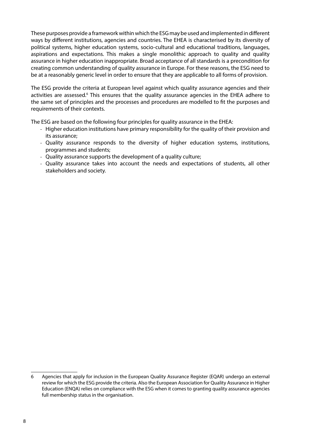These purposes provide a framework within which the ESG may be used and implemented in different ways by different institutions, agencies and countries. The EHEA is characterised by its diversity of political systems, higher education systems, socio-cultural and educational traditions, languages, aspirations and expectations. This makes a single monolithic approach to quality and quality assurance in higher education inappropriate. Broad acceptance of all standards is a precondition for creating common understanding of quality assurance in Europe. For these reasons, the ESG need to be at a reasonably generic level in order to ensure that they are applicable to all forms of provision.

The ESG provide the criteria at European level against which quality assurance agencies and their activities are assessed.<sup>6</sup> This ensures that the quality assurance agencies in the EHEA adhere to the same set of principles and the processes and procedures are modelled to fit the purposes and requirements of their contexts.

The ESG are based on the following four principles for quality assurance in the EHEA:

- Higher education institutions have primary responsibility for the quality of their provision and its assurance;
- Quality assurance responds to the diversity of higher education systems, institutions, programmes and students;
- Quality assurance supports the development of a quality culture;
- Quality assurance takes into account the needs and expectations of students, all other stakeholders and society.

<sup>6</sup> Agencies that apply for inclusion in the European Quality Assurance Register (EQAR) undergo an external review for which the ESG provide the criteria. Also the European Association for Quality Assurance in Higher Education (ENQA) relies on compliance with the ESG when it comes to granting quality assurance agencies full membership status in the organisation.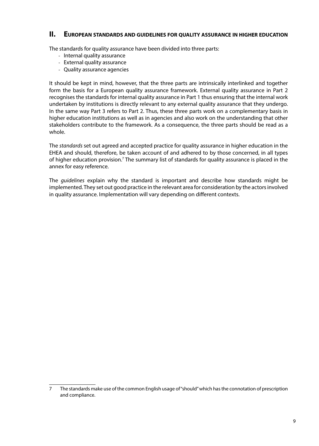# <span id="page-10-0"></span>**II. European standards and guidelines for quality assurance in higher education**

The standards for quality assurance have been divided into three parts:

- Internal quality assurance
- External quality assurance
- Quality assurance agencies

It should be kept in mind, however, that the three parts are intrinsically interlinked and together form the basis for a European quality assurance framework. External quality assurance in Part 2 recognises the standards for internal quality assurance in Part 1 thus ensuring that the internal work undertaken by institutions is directly relevant to any external quality assurance that they undergo. In the same way Part 3 refers to Part 2. Thus, these three parts work on a complementary basis in higher education institutions as well as in agencies and also work on the understanding that other stakeholders contribute to the framework. As a consequence, the three parts should be read as a whole.

The *standards* set out agreed and accepted practice for quality assurance in higher education in the EHEA and should, therefore, be taken account of and adhered to by those concerned, in all types of higher education provision.<sup>7</sup> The summary list of standards for quality assurance is placed in the annex for easy reference.

The *guidelines* explain why the standard is important and describe how standards might be implemented. They set out good practice in the relevant area for consideration by the actors involved in quality assurance. Implementation will vary depending on different contexts.

<sup>7</sup> The standards make use of the common English usage of "should" which has the connotation of prescription and compliance.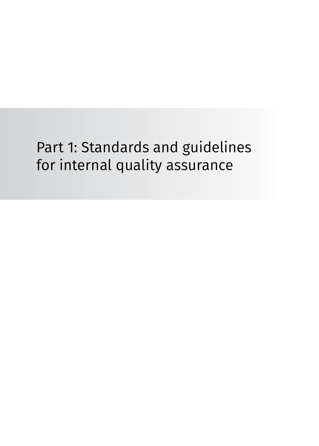# <span id="page-11-0"></span>Part 1: Standards and guidelines for internal quality assurance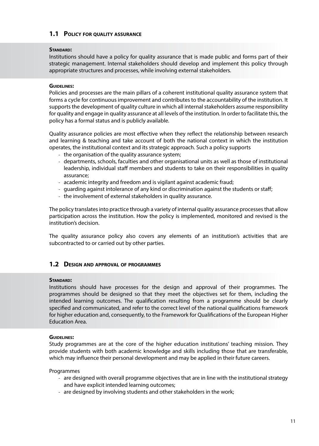# **1.1 Policy for quality assurance**

#### **Standard:**

Institutions should have a policy for quality assurance that is made public and forms part of their strategic management. Internal stakeholders should develop and implement this policy through appropriate structures and processes, while involving external stakeholders.

#### **Guidelines:**

Policies and processes are the main pillars of a coherent institutional quality assurance system that forms a cycle for continuous improvement and contributes to the accountability of the institution. It supports the development of quality culture in which all internal stakeholders assume responsibility for quality and engage in quality assurance at all levels of the institution. In order to facilitate this, the policy has a formal status and is publicly available.

Quality assurance policies are most effective when they reflect the relationship between research and learning & teaching and take account of both the national context in which the institution operates, the institutional context and its strategic approach. Such a policy supports

- the organisation of the quality assurance system;
- departments, schools, faculties and other organisational units as well as those of institutional leadership, individual staff members and students to take on their responsibilities in quality assurance;
- academic integrity and freedom and is vigilant against academic fraud;
- guarding against intolerance of any kind or discrimination against the students or staff;
- the involvement of external stakeholders in quality assurance.

The policy translates into practice through a variety of internal quality assurance processes that allow participation across the institution. How the policy is implemented, monitored and revised is the institution's decision.

The quality assurance policy also covers any elements of an institution's activities that are subcontracted to or carried out by other parties.

# **1.2 Design and approval of programmes**

#### **Standard:**

Institutions should have processes for the design and approval of their programmes. The programmes should be designed so that they meet the objectives set for them, including the intended learning outcomes. The qualification resulting from a programme should be clearly specified and communicated, and refer to the correct level of the national qualifications framework for higher education and, consequently, to the Framework for Qualifications of the European Higher Education Area.

#### **Guidelines:**

Study programmes are at the core of the higher education institutions' teaching mission. They provide students with both academic knowledge and skills including those that are transferable, which may influence their personal development and may be applied in their future careers.

Programmes

- are designed with overall programme objectives that are in line with the institutional strategy and have explicit intended learning outcomes;
- are designed by involving students and other stakeholders in the work;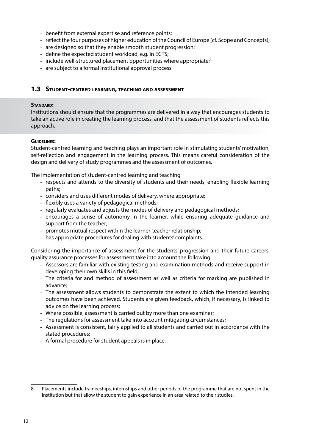- benefit from external expertise and reference points;
- reflect the four purposes of higher education of the Council of Europe (cf. Scope and Concepts);
- are designed so that they enable smooth student progression;
- define the expected student workload, e.g. in ECTS;
- include well-structured placement opportunities where appropriate;<sup>8</sup>
- are subject to a formal institutional approval process.

# **1.3 Student-centred learning, teaching and assessment**

#### **Standard:**

Institutions should ensure that the programmes are delivered in a way that encourages students to take an active role in creating the learning process, and that the assessment of students reflects this approach.

#### **Guidelines:**

Student-centred learning and teaching plays an important role in stimulating students' motivation, self-reflection and engagement in the learning process. This means careful consideration of the design and delivery of study programmes and the assessment of outcomes.

The implementation of student-centred learning and teaching

- respects and attends to the diversity of students and their needs, enabling flexible learning paths;
- considers and uses different modes of delivery, where appropriate;
- flexibly uses a variety of pedagogical methods;
- regularly evaluates and adjusts the modes of delivery and pedagogical methods;
- encourages a sense of autonomy in the learner, while ensuring adequate guidance and support from the teacher;
- promotes mutual respect within the learner-teacher relationship;
- has appropriate procedures for dealing with students' complaints.

Considering the importance of assessment for the students' progression and their future careers, quality assurance processes for assessment take into account the following:

- Assessors are familiar with existing testing and examination methods and receive support in developing their own skills in this field;
- The criteria for and method of assessment as well as criteria for marking are published in advance;
- The assessment allows students to demonstrate the extent to which the intended learning outcomes have been achieved. Students are given feedback, which, if necessary, is linked to advice on the learning process;
- Where possible, assessment is carried out by more than one examiner;
- The regulations for assessment take into account mitigating circumstances;
- Assessment is consistent, fairly applied to all students and carried out in accordance with the stated procedures;
- A formal procedure for student appeals is in place.

<sup>8</sup> Placements include traineeships, internships and other periods of the programme that are not spent in the institution but that allow the student to gain experience in an area related to their studies.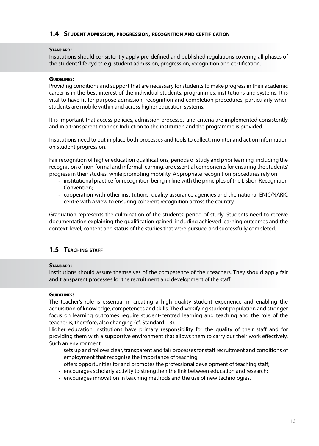#### **1.4 Student admission, progression, recognition and certification**

#### **Standard:**

Institutions should consistently apply pre-defined and published regulations covering all phases of the student "life cycle", e.g. student admission, progression, recognition and certification.

#### **Guidelines:**

Providing conditions and support that are necessary for students to make progress in their academic career is in the best interest of the individual students, programmes, institutions and systems. It is vital to have fit-for-purpose admission, recognition and completion procedures, particularly when students are mobile within and across higher education systems.

It is important that access policies, admission processes and criteria are implemented consistently and in a transparent manner. Induction to the institution and the programme is provided.

Institutions need to put in place both processes and tools to collect, monitor and act on information on student progression.

Fair recognition of higher education qualifications, periods of study and prior learning, including the recognition of non-formal and informal learning, are essential components for ensuring the students' progress in their studies, while promoting mobility. Appropriate recognition procedures rely on

- institutional practice for recognition being in line with the principles of the Lisbon Recognition Convention;
- cooperation with other institutions, quality assurance agencies and the national ENIC/NARIC centre with a view to ensuring coherent recognition across the country.

Graduation represents the culmination of the students' period of study. Students need to receive documentation explaining the qualification gained, including achieved learning outcomes and the context, level, content and status of the studies that were pursued and successfully completed.

# **1.5 Teaching staff**

#### **Standard:**

Institutions should assure themselves of the competence of their teachers. They should apply fair and transparent processes for the recruitment and development of the staff.

#### **Guidelines:**

The teacher's role is essential in creating a high quality student experience and enabling the acquisition of knowledge, competences and skills. The diversifying student population and stronger focus on learning outcomes require student-centred learning and teaching and the role of the teacher is, therefore, also changing (cf. Standard 1.3).

Higher education institutions have primary responsibility for the quality of their staff and for providing them with a supportive environment that allows them to carry out their work effectively. Such an environment

- sets up and follows clear, transparent and fair processes for staff recruitment and conditions of employment that recognise the importance of teaching;
- offers opportunities for and promotes the professional development of teaching staff;
- encourages scholarly activity to strengthen the link between education and research;
- encourages innovation in teaching methods and the use of new technologies.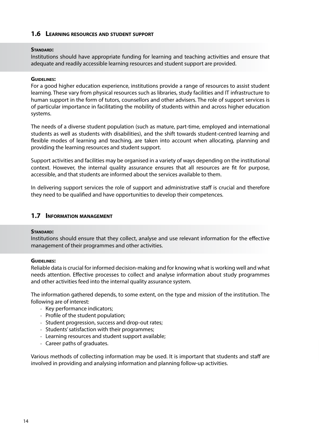#### **1.6 Learning resources and student support**

#### **Standard:**

Institutions should have appropriate funding for learning and teaching activities and ensure that adequate and readily accessible learning resources and student support are provided.

#### **Guidelines:**

For a good higher education experience, institutions provide a range of resources to assist student learning. These vary from physical resources such as libraries, study facilities and IT infrastructure to human support in the form of tutors, counsellors and other advisers. The role of support services is of particular importance in facilitating the mobility of students within and across higher education systems.

The needs of a diverse student population (such as mature, part-time, employed and international students as well as students with disabilities), and the shift towards student-centred learning and flexible modes of learning and teaching, are taken into account when allocating, planning and providing the learning resources and student support.

Support activities and facilities may be organised in a variety of ways depending on the institutional context. However, the internal quality assurance ensures that all resources are fit for purpose, accessible, and that students are informed about the services available to them.

In delivering support services the role of support and administrative staff is crucial and therefore they need to be qualified and have opportunities to develop their competences.

# **1.7 Information management**

#### **Standard:**

Institutions should ensure that they collect, analyse and use relevant information for the effective management of their programmes and other activities.

#### **Guidelines:**

Reliable data is crucial for informed decision-making and for knowing what is working well and what needs attention. Effective processes to collect and analyse information about study programmes and other activities feed into the internal quality assurance system.

The information gathered depends, to some extent, on the type and mission of the institution. The following are of interest:

- Key performance indicators;
- Profile of the student population;
- Student progression, success and drop-out rates;
- Students' satisfaction with their programmes;
- Learning resources and student support available;
- Career paths of graduates.

Various methods of collecting information may be used. It is important that students and staff are involved in providing and analysing information and planning follow-up activities.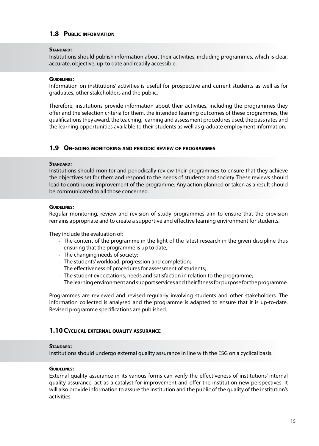# **1.8 Public information**

#### **Standard:**

Institutions should publish information about their activities, including programmes, which is clear, accurate, objective, up-to date and readily accessible.

#### **Guidelines:**

Information on institutions' activities is useful for prospective and current students as well as for graduates, other stakeholders and the public.

Therefore, institutions provide information about their activities, including the programmes they offer and the selection criteria for them, the intended learning outcomes of these programmes, the qualifications they award, the teaching, learning and assessment procedures used, the pass rates and the learning opportunities available to their students as well as graduate employment information.

#### **1.9 On-going monitoring and periodic review of programmes**

#### **Standard:**

Institutions should monitor and periodically review their programmes to ensure that they achieve the objectives set for them and respond to the needs of students and society. These reviews should lead to continuous improvement of the programme. Any action planned or taken as a result should be communicated to all those concerned.

#### **Guidelines:**

Regular monitoring, review and revision of study programmes aim to ensure that the provision remains appropriate and to create a supportive and effective learning environment for students.

They include the evaluation of:

- The content of the programme in the light of the latest research in the given discipline thus ensuring that the programme is up to date;
- The changing needs of society;
- The students' workload, progression and completion;
- The effectiveness of procedures for assessment of students;
- The student expectations, needs and satisfaction in relation to the programme;
- The learning environment and support services and their fitness for purpose for the programme.

Programmes are reviewed and revised regularly involving students and other stakeholders. The information collected is analysed and the programme is adapted to ensure that it is up-to-date. Revised programme specifications are published.

#### **1.10Cyclical external quality assurance**

#### **Standard:**

Institutions should undergo external quality assurance in line with the ESG on a cyclical basis.

#### **Guidelines:**

External quality assurance in its various forms can verify the effectiveness of institutions' internal quality assurance, act as a catalyst for improvement and offer the institution new perspectives. It will also provide information to assure the institution and the public of the quality of the institution's activities.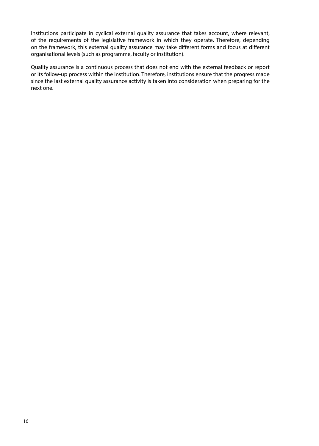Institutions participate in cyclical external quality assurance that takes account, where relevant, of the requirements of the legislative framework in which they operate. Therefore, depending on the framework, this external quality assurance may take different forms and focus at different organisational levels (such as programme, faculty or institution).

Quality assurance is a continuous process that does not end with the external feedback or report or its follow-up process within the institution. Therefore, institutions ensure that the progress made since the last external quality assurance activity is taken into consideration when preparing for the next one.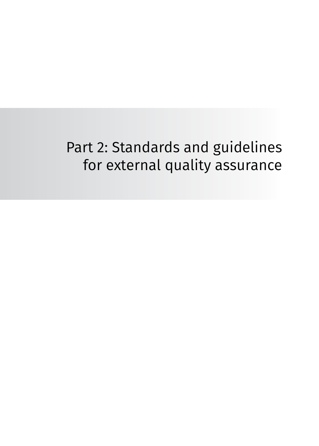# <span id="page-18-0"></span>Part 2: Standards and guidelines for external quality assurance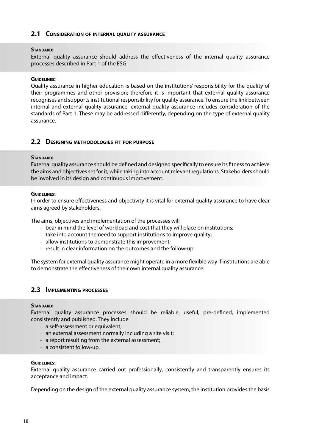#### **2.1 Consideration of internal quality assurance**

#### **Standard:**

External quality assurance should address the effectiveness of the internal quality assurance processes described in Part 1 of the ESG.

#### **Guidelines:**

Quality assurance in higher education is based on the institutions' responsibility for the quality of their programmes and other provision; therefore it is important that external quality assurance recognises and supports institutional responsibility for quality assurance. To ensure the link between internal and external quality assurance, external quality assurance includes consideration of the standards of Part 1. These may be addressed differently, depending on the type of external quality assurance.

#### **2.2 Designing methodologies fit for purpose**

#### **Standard:**

External quality assurance should be defined and designed specifically to ensure its fitness to achieve the aims and objectives set for it, while taking into account relevant regulations. Stakeholders should be involved in its design and continuous improvement.

#### **Guidelines:**

In order to ensure effectiveness and objectivity it is vital for external quality assurance to have clear aims agreed by stakeholders.

The aims, objectives and implementation of the processes will

- bear in mind the level of workload and cost that they will place on institutions;
- take into account the need to support institutions to improve quality;
- allow institutions to demonstrate this improvement;
- result in clear information on the outcomes and the follow-up.

The system for external quality assurance might operate in a more flexible way if institutions are able to demonstrate the effectiveness of their own internal quality assurance.

#### **2.3 Implementing processes**

#### **Standard:**

External quality assurance processes should be reliable, useful, pre-defined, implemented consistently and published. They include

- a self-assessment or equivalent;
- an external assessment normally including a site visit;
- a report resulting from the external assessment;
- a consistent follow-up.

#### **Guidelines:**

External quality assurance carried out professionally, consistently and transparently ensures its acceptance and impact.

Depending on the design of the external quality assurance system, the institution provides the basis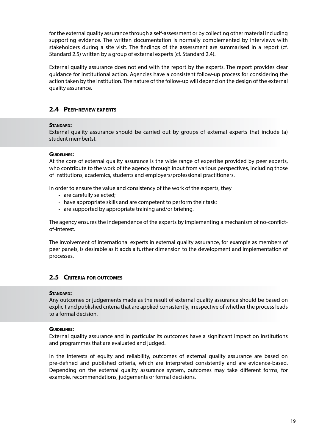for the external quality assurance through a self-assessment or by collecting other material including supporting evidence. The written documentation is normally complemented by interviews with stakeholders during a site visit. The findings of the assessment are summarised in a report (cf. Standard 2.5) written by a group of external experts (cf. Standard 2.4).

External quality assurance does not end with the report by the experts. The report provides clear guidance for institutional action. Agencies have a consistent follow-up process for considering the action taken by the institution. The nature of the follow-up will depend on the design of the external quality assurance.

# **2.4 Peer-review experts**

#### **Standard:**

External quality assurance should be carried out by groups of external experts that include (a) student member(s).

#### **Guidelines:**

At the core of external quality assurance is the wide range of expertise provided by peer experts, who contribute to the work of the agency through input from various perspectives, including those of institutions, academics, students and employers/professional practitioners.

In order to ensure the value and consistency of the work of the experts, they

- are carefully selected;
- have appropriate skills and are competent to perform their task;
- are supported by appropriate training and/or briefing.

The agency ensures the independence of the experts by implementing a mechanism of no-conflictof-interest.

The involvement of international experts in external quality assurance, for example as members of peer panels, is desirable as it adds a further dimension to the development and implementation of processes.

# **2.5 Criteria for outcomes**

#### **Standard:**

Any outcomes or judgements made as the result of external quality assurance should be based on explicit and published criteria that are applied consistently, irrespective of whether the process leads to a formal decision.

#### **Guidelines:**

External quality assurance and in particular its outcomes have a significant impact on institutions and programmes that are evaluated and judged.

In the interests of equity and reliability, outcomes of external quality assurance are based on pre-defined and published criteria, which are interpreted consistently and are evidence-based. Depending on the external quality assurance system, outcomes may take different forms, for example, recommendations, judgements or formal decisions.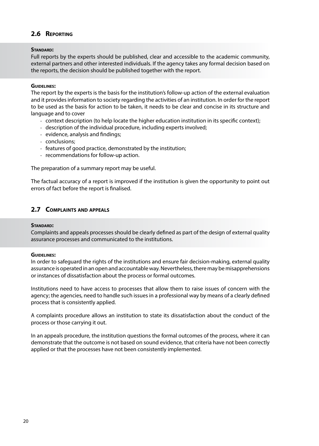# **2.6 Reporting**

#### **Standard:**

Full reports by the experts should be published, clear and accessible to the academic community, external partners and other interested individuals. If the agency takes any formal decision based on the reports, the decision should be published together with the report.

#### **Guidelines:**

The report by the experts is the basis for the institution's follow-up action of the external evaluation and it provides information to society regarding the activities of an institution. In order for the report to be used as the basis for action to be taken, it needs to be clear and concise in its structure and language and to cover

- context description (to help locate the higher education institution in its specific context);
- description of the individual procedure, including experts involved;
- evidence, analysis and findings;
- conclusions;
- features of good practice, demonstrated by the institution;
- recommendations for follow-up action.

The preparation of a summary report may be useful.

The factual accuracy of a report is improved if the institution is given the opportunity to point out errors of fact before the report is finalised.

# **2.7 Complaints and appeals**

#### **Standard:**

Complaints and appeals processes should be clearly defined as part of the design of external quality assurance processes and communicated to the institutions.

#### **Guidelines:**

In order to safeguard the rights of the institutions and ensure fair decision-making, external quality assurance is operated in an open and accountable way. Nevertheless, there may be misapprehensions or instances of dissatisfaction about the process or formal outcomes.

Institutions need to have access to processes that allow them to raise issues of concern with the agency; the agencies, need to handle such issues in a professional way by means of a clearly defined process that is consistently applied.

A complaints procedure allows an institution to state its dissatisfaction about the conduct of the process or those carrying it out.

In an appeals procedure, the institution questions the formal outcomes of the process, where it can demonstrate that the outcome is not based on sound evidence, that criteria have not been correctly applied or that the processes have not been consistently implemented.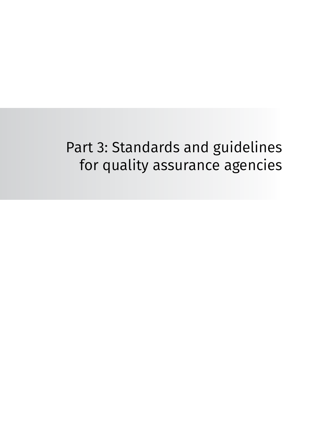# <span id="page-22-0"></span>Part 3: Standards and guidelines for quality assurance agencies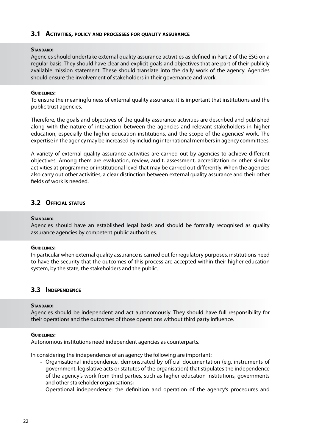#### **3.1 Activities, policy and processes for quality assurance**

#### **Standard:**

Agencies should undertake external quality assurance activities as defined in Part 2 of the ESG on a regular basis. They should have clear and explicit goals and objectives that are part of their publicly available mission statement. These should translate into the daily work of the agency. Agencies should ensure the involvement of stakeholders in their governance and work.

#### **Guidelines:**

To ensure the meaningfulness of external quality assurance, it is important that institutions and the public trust agencies.

Therefore, the goals and objectives of the quality assurance activities are described and published along with the nature of interaction between the agencies and relevant stakeholders in higher education, especially the higher education institutions, and the scope of the agencies' work. The expertise in the agency may be increased by including international members in agency committees.

A variety of external quality assurance activities are carried out by agencies to achieve different objectives. Among them are evaluation, review, audit, assessment, accreditation or other similar activities at programme or institutional level that may be carried out differently. When the agencies also carry out other activities, a clear distinction between external quality assurance and their other fields of work is needed.

#### **3.2 Official status**

#### **Standard:**

Agencies should have an established legal basis and should be formally recognised as quality assurance agencies by competent public authorities.

#### **Guidelines:**

In particular when external quality assurance is carried out for regulatory purposes, institutions need to have the security that the outcomes of this process are accepted within their higher education system, by the state, the stakeholders and the public.

# **3.3 Independence**

#### **Standard:**

Agencies should be independent and act autonomously. They should have full responsibility for their operations and the outcomes of those operations without third party influence.

#### **Guidelines:**

Autonomous institutions need independent agencies as counterparts.

In considering the independence of an agency the following are important:

- Organisational independence, demonstrated by official documentation (e.g. instruments of government, legislative acts or statutes of the organisation) that stipulates the independence of the agency's work from third parties, such as higher education institutions, governments and other stakeholder organisations;
- Operational independence: the definition and operation of the agency's procedures and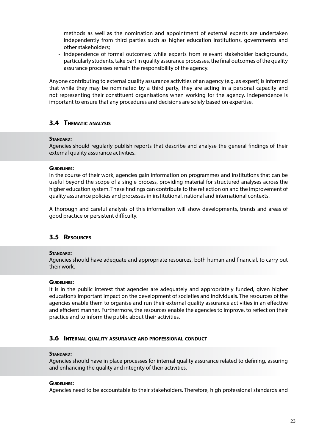methods as well as the nomination and appointment of external experts are undertaken independently from third parties such as higher education institutions, governments and other stakeholders;

- Independence of formal outcomes: while experts from relevant stakeholder backgrounds, particularly students, take part in quality assurance processes, the final outcomes of the quality assurance processes remain the responsibility of the agency.

Anyone contributing to external quality assurance activities of an agency (e.g. as expert) is informed that while they may be nominated by a third party, they are acting in a personal capacity and not representing their constituent organisations when working for the agency. Independence is important to ensure that any procedures and decisions are solely based on expertise.

# **3.4 Thematic analysis**

#### **Standard:**

Agencies should regularly publish reports that describe and analyse the general findings of their external quality assurance activities.

#### **Guidelines:**

In the course of their work, agencies gain information on programmes and institutions that can be useful beyond the scope of a single process, providing material for structured analyses across the higher education system. These findings can contribute to the reflection on and the improvement of quality assurance policies and processes in institutional, national and international contexts.

A thorough and careful analysis of this information will show developments, trends and areas of good practice or persistent difficulty.

#### **3.5 Resources**

#### **Standard:**

Agencies should have adequate and appropriate resources, both human and financial, to carry out their work.

#### **Guidelines:**

It is in the public interest that agencies are adequately and appropriately funded, given higher education's important impact on the development of societies and individuals. The resources of the agencies enable them to organise and run their external quality assurance activities in an effective and efficient manner. Furthermore, the resources enable the agencies to improve, to reflect on their practice and to inform the public about their activities.

#### **3.6 Internal quality assurance and professional conduct**

#### **Standard:**

Agencies should have in place processes for internal quality assurance related to defining, assuring and enhancing the quality and integrity of their activities.

#### **Guidelines:**

Agencies need to be accountable to their stakeholders. Therefore, high professional standards and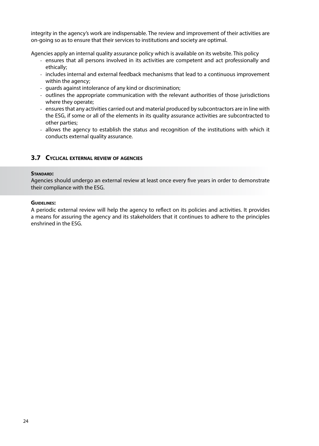integrity in the agency's work are indispensable. The review and improvement of their activities are on-going so as to ensure that their services to institutions and society are optimal.

Agencies apply an internal quality assurance policy which is available on its website. This policy

- ensures that all persons involved in its activities are competent and act professionally and ethically;
- includes internal and external feedback mechanisms that lead to a continuous improvement within the agency;
- guards against intolerance of any kind or discrimination;
- outlines the appropriate communication with the relevant authorities of those jurisdictions where they operate;
- ensures that any activities carried out and material produced by subcontractors are in line with the ESG, if some or all of the elements in its quality assurance activities are subcontracted to other parties;
- allows the agency to establish the status and recognition of the institutions with which it conducts external quality assurance.

## **3.7 Cyclical external review of agencies**

#### **Standard:**

Agencies should undergo an external review at least once every five years in order to demonstrate their compliance with the ESG.

#### **Guidelines:**

A periodic external review will help the agency to reflect on its policies and activities. It provides a means for assuring the agency and its stakeholders that it continues to adhere to the principles enshrined in the ESG.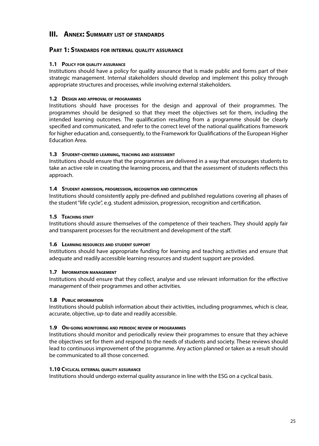# <span id="page-26-0"></span>**III. Annex: Summary list of standards**

### **Part 1: Standards for internal quality assurance**

#### **1.1 Policy for quality assurance**

Institutions should have a policy for quality assurance that is made public and forms part of their strategic management. Internal stakeholders should develop and implement this policy through appropriate structures and processes, while involving external stakeholders.

# **1.2 Design and approval of programmes**

Institutions should have processes for the design and approval of their programmes. The programmes should be designed so that they meet the objectives set for them, including the intended learning outcomes. The qualification resulting from a programme should be clearly specified and communicated, and refer to the correct level of the national qualifications framework for higher education and, consequently, to the Framework for Qualifications of the European Higher Education Area.

#### **1.3 Student-centred learning, teaching and assessment**

Institutions should ensure that the programmes are delivered in a way that encourages students to take an active role in creating the learning process, and that the assessment of students reflects this approach.

#### **1.4 Student admission, progression, recognition and certification**

Institutions should consistently apply pre-defined and published regulations covering all phases of the student "life cycle", e.g. student admission, progression, recognition and certification.

#### **1.5 Teaching staff**

Institutions should assure themselves of the competence of their teachers. They should apply fair and transparent processes for the recruitment and development of the staff.

#### **1.6 Learning resources and student support**

Institutions should have appropriate funding for learning and teaching activities and ensure that adequate and readily accessible learning resources and student support are provided.

#### **1.7 Information management**

Institutions should ensure that they collect, analyse and use relevant information for the effective management of their programmes and other activities.

#### **1.8 Public information**

Institutions should publish information about their activities, including programmes, which is clear, accurate, objective, up-to date and readily accessible.

#### **1.9 On-going monitoring and periodic review of programmes**

Institutions should monitor and periodically review their programmes to ensure that they achieve the objectives set for them and respond to the needs of students and society. These reviews should lead to continuous improvement of the programme. Any action planned or taken as a result should be communicated to all those concerned.

#### **1.10 Cyclical external quality assurance**

Institutions should undergo external quality assurance in line with the ESG on a cyclical basis.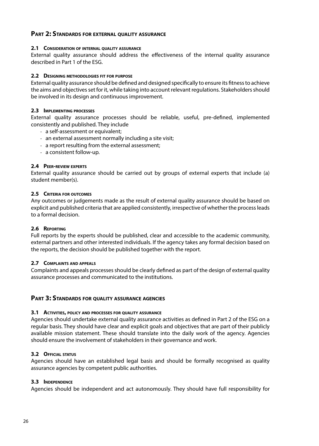# **Part 2: Standards for external quality assurance**

#### **2.1 Consideration of internal quality assurance**

External quality assurance should address the effectiveness of the internal quality assurance described in Part 1 of the ESG.

#### **2.2 Designing methodologies fit for purpose**

External quality assurance should be defined and designed specifically to ensure its fitness to achieve the aims and objectives set for it, while taking into account relevant regulations. Stakeholders should be involved in its design and continuous improvement.

#### **2.3 Implementing processes**

External quality assurance processes should be reliable, useful, pre-defined, implemented consistently and published. They include

- a self-assessment or equivalent;
- an external assessment normally including a site visit;
- a report resulting from the external assessment;
- a consistent follow-up.

#### **2.4 Peer-review experts**

External quality assurance should be carried out by groups of external experts that include (a) student member(s).

#### **2.5 Criteria for outcomes**

Any outcomes or judgements made as the result of external quality assurance should be based on explicit and published criteria that are applied consistently, irrespective of whether the process leads to a formal decision.

#### **2.6 Reporting**

Full reports by the experts should be published, clear and accessible to the academic community, external partners and other interested individuals. If the agency takes any formal decision based on the reports, the decision should be published together with the report.

#### **2.7 Complaints and appeals**

Complaints and appeals processes should be clearly defined as part of the design of external quality assurance processes and communicated to the institutions.

#### **Part 3: Standards for quality assurance agencies**

#### **3.1 Activities, policy and processes for quality assurance**

Agencies should undertake external quality assurance activities as defined in Part 2 of the ESG on a regular basis. They should have clear and explicit goals and objectives that are part of their publicly available mission statement. These should translate into the daily work of the agency. Agencies should ensure the involvement of stakeholders in their governance and work.

#### **3.2 Official status**

Agencies should have an established legal basis and should be formally recognised as quality assurance agencies by competent public authorities.

#### **3.3 Independence**

Agencies should be independent and act autonomously. They should have full responsibility for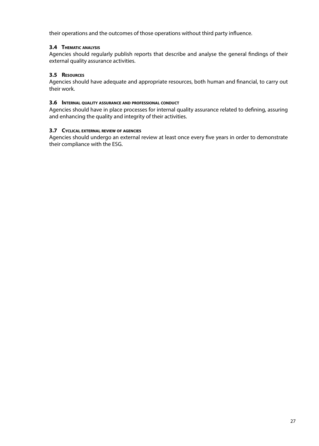their operations and the outcomes of those operations without third party influence.

#### **3.4 Thematic analysis**

Agencies should regularly publish reports that describe and analyse the general findings of their external quality assurance activities.

#### **3.5 Resources**

Agencies should have adequate and appropriate resources, both human and financial, to carry out their work.

#### **3.6 Internal quality assurance and professional conduct**

Agencies should have in place processes for internal quality assurance related to defining, assuring and enhancing the quality and integrity of their activities.

#### **3.7 Cyclical external review of agencies**

Agencies should undergo an external review at least once every five years in order to demonstrate their compliance with the ESG.